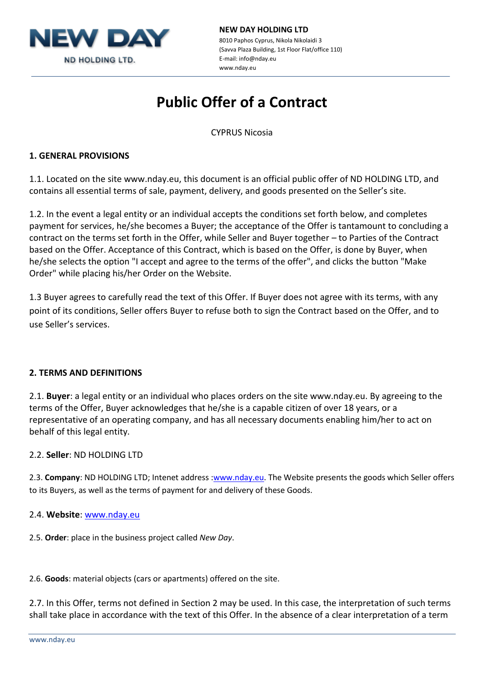

#### **NEW DAY HOLDING LTD** 8010 Paphos Cyprus, Nikola Nikolaidi 3 (Savva Plaza Building, 1st Floor Flat/office 110) E-mail: info@nday.eu

# **Public Offer of a Contract**

www.nday.eu

CYPRUS Nicosia

# **1. GENERAL PROVISIONS**

1.1. Located on the site www.nday.eu, this document is an official public offer of ND HOLDING LTD, and contains all essential terms of sale, payment, delivery, and goods presented on the Seller's site.

1.2. In the event a legal entity or an individual accepts the conditions set forth below, and completes payment for services, he/she becomes a Buyer; the acceptance of the Offer is tantamount to concluding a contract on the terms set forth in the Offer, while Seller and Buyer together – to Parties of the Contract based on the Offer. Acceptance of this Contract, which is based on the Offer, is done by Buyer, when he/she selects the option "I accept and agree to the terms of the offer", and clicks the button "Make Order" while placing his/her Order on the Website.

1.3 Buyer agrees to carefully read the text of this Offer. If Buyer does not agree with its terms, with any point of its conditions, Seller offers Buyer to refuse both to sign the Contract based on the Offer, and to use Seller's services.

# **2. TERMS AND DEFINITIONS**

2.1. **Buyer**: a legal entity or an individual who places orders on the site www.nday.eu. By agreeing to the terms of the Offer, Buyer acknowledges that he/she is a capable citizen of over 18 years, or a representative of an operating company, and has all necessary documents enabling him/her to act on behalf of this legal entity.

# 2.2. **Seller**: ND HOLDING LTD

2.3. **Company**: ND HOLDING LTD; Intenet address [:www.nday.eu.](http://www.nday.eu/) The Website presents the goods which Seller offers to its Buyers, as well as the terms of payment for and delivery of these Goods.

# 2.4. **Website**: [www.nday.eu](http://www.nday.eu/)

2.5. **Order**: place in the business project called *New Day*.

2.6. **Goods**: material objects (cars or apartments) offered on the site.

2.7. In this Offer, terms not defined in Section 2 may be used. In this case, the interpretation of such terms shall take place in accordance with the text of this Offer. In the absence of a clear interpretation of a term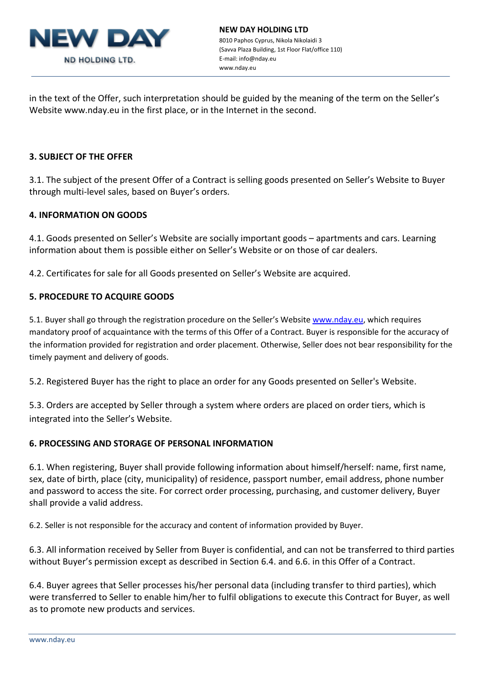

in the text of the Offer, such interpretation should be guided by the meaning of the term on the Seller's Website www.nday.eu in the first place, or in the Internet in the second.

### **3. SUBJECT OF THE OFFER**

3.1. The subject of the present Offer of a Contract is selling goods presented on Seller's Website to Buyer through multi-level sales, based on Buyer's orders.

#### **4. INFORMATION ON GOODS**

4.1. Goods presented on Seller's Website are socially important goods – apartments and cars. Learning information about them is possible either on Seller's Website or on those of car dealers.

4.2. Certificates for sale for all Goods presented on Seller's Website are acquired.

# **5. PROCEDURE TO ACQUIRE GOODS**

5.1. Buyer shall go through the registration procedure on the Seller's Website [www.nday.eu,](http://www.nday.eu/) which requires mandatory proof of acquaintance with the terms of this Offer of a Contract. Buyer is responsible for the accuracy of the information provided for registration and order placement. Otherwise, Seller does not bear responsibility for the timely payment and delivery of goods.

5.2. Registered Buyer has the right to place an order for any Goods presented on Seller's Website.

5.3. Orders are accepted by Seller through a system where orders are placed on order tiers, which is integrated into the Seller's Website.

#### **6. PROCESSING AND STORAGE OF PERSONAL INFORMATION**

6.1. When registering, Buyer shall provide following information about himself/herself: name, first name, sex, date of birth, place (city, municipality) of residence, passport number, email address, phone number and password to access the site. For correct order processing, purchasing, and customer delivery, Buyer shall provide a valid address.

6.2. Seller is not responsible for the accuracy and content of information provided by Buyer.

6.3. All information received by Seller from Buyer is confidential, and can not be transferred to third parties without Buyer's permission except as described in Section 6.4. and 6.6. in this Offer of a Contract.

6.4. Buyer agrees that Seller processes his/her personal data (including transfer to third parties), which were transferred to Seller to enable him/her to fulfil obligations to execute this Contract for Buyer, as well as to promote new products and services.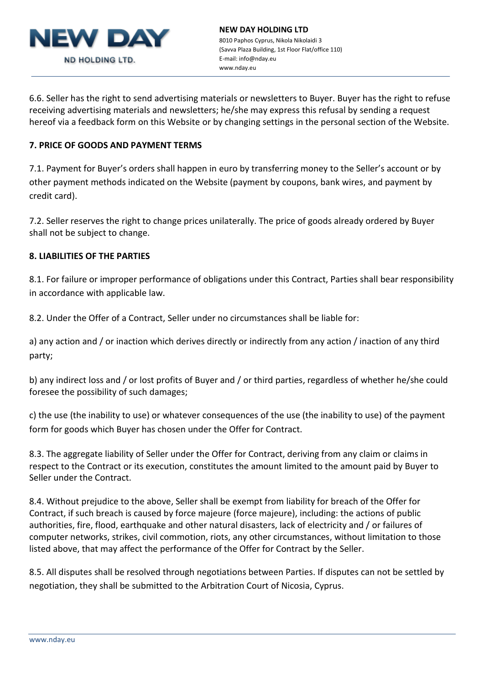

6.6. Seller has the right to send advertising materials or newsletters to Buyer. Buyer has the right to refuse receiving advertising materials and newsletters; he/she may express this refusal by sending a request hereof via a feedback form on this Website or by changing settings in the personal section of the Website.

# **7. PRICE OF GOODS AND PAYMENT TERMS**

7.1. Payment for Buyer's orders shall happen in euro by transferring money to the Seller's account or by other payment methods indicated on the Website (payment by coupons, bank wires, and payment by credit card).

7.2. Seller reserves the right to change prices unilaterally. The price of goods already ordered by Buyer shall not be subject to change.

#### **8. LIABILITIES OF THE PARTIES**

8.1. For failure or improper performance of obligations under this Contract, Parties shall bear responsibility in accordance with applicable law.

8.2. Under the Offer of a Contract, Seller under no circumstances shall be liable for:

a) any action and / or inaction which derives directly or indirectly from any action / inaction of any third party;

b) any indirect loss and / or lost profits of Buyer and / or third parties, regardless of whether he/she could foresee the possibility of such damages;

c) the use (the inability to use) or whatever consequences of the use (the inability to use) of the payment form for goods which Buyer has chosen under the Offer for Contract.

8.3. The aggregate liability of Seller under the Offer for Contract, deriving from any claim or claims in respect to the Contract or its execution, constitutes the amount limited to the amount paid by Buyer to Seller under the Contract.

8.4. Without prejudice to the above, Seller shall be exempt from liability for breach of the Offer for Contract, if such breach is caused by force majeure (force majeure), including: the actions of public authorities, fire, flood, earthquake and other natural disasters, lack of electricity and / or failures of computer networks, strikes, civil commotion, riots, any other circumstances, without limitation to those listed above, that may affect the performance of the Offer for Contract by the Seller.

8.5. All disputes shall be resolved through negotiations between Parties. If disputes can not be settled by negotiation, they shall be submitted to the Arbitration Court of Nicosia, Cyprus.